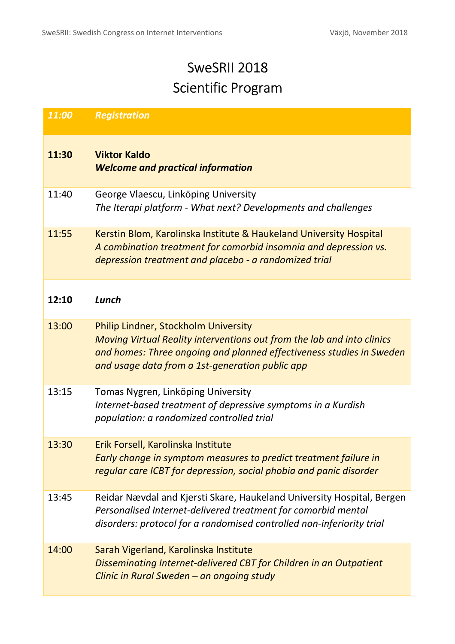## SweSRII 2018 Scientific Program

| 11:00 | <b>Registration</b>                                                                                                                                                                                                                              |
|-------|--------------------------------------------------------------------------------------------------------------------------------------------------------------------------------------------------------------------------------------------------|
| 11:30 | <b>Viktor Kaldo</b><br><b>Welcome and practical information</b>                                                                                                                                                                                  |
| 11:40 | George Vlaescu, Linköping University<br>The Iterapi platform - What next? Developments and challenges                                                                                                                                            |
| 11:55 | Kerstin Blom, Karolinska Institute & Haukeland University Hospital<br>A combination treatment for comorbid insomnia and depression vs.<br>depression treatment and placebo - a randomized trial                                                  |
| 12:10 | Lunch                                                                                                                                                                                                                                            |
| 13:00 | <b>Philip Lindner, Stockholm University</b><br>Moving Virtual Reality interventions out from the lab and into clinics<br>and homes: Three ongoing and planned effectiveness studies in Sweden<br>and usage data from a 1st-generation public app |
| 13:15 | Tomas Nygren, Linköping University<br>Internet-based treatment of depressive symptoms in a Kurdish<br>population: a randomized controlled trial                                                                                                  |
| 13:30 | Erik Forsell, Karolinska Institute<br>Early change in symptom measures to predict treatment failure in<br>regular care ICBT for depression, social phobia and panic disorder                                                                     |
| 13:45 | Reidar Nævdal and Kjersti Skare, Haukeland University Hospital, Bergen<br>Personalised Internet-delivered treatment for comorbid mental<br>disorders: protocol for a randomised controlled non-inferiority trial                                 |
| 14:00 | Sarah Vigerland, Karolinska Institute<br>Disseminating Internet-delivered CBT for Children in an Outpatient<br>Clinic in Rural Sweden - an ongoing study                                                                                         |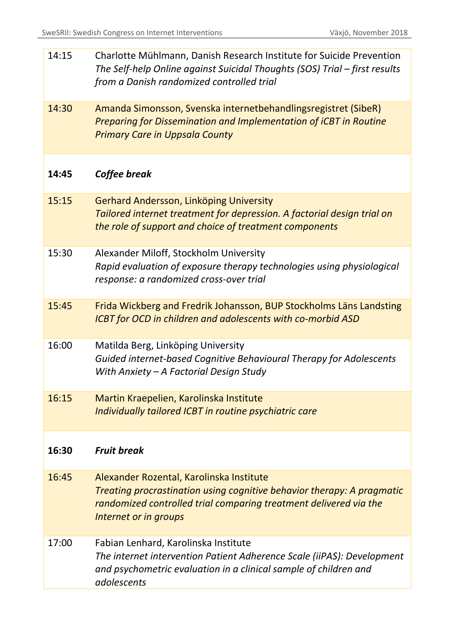| 14:15 | Charlotte Mühlmann, Danish Research Institute for Suicide Prevention<br>The Self-help Online against Suicidal Thoughts (SOS) Trial – first results<br>from a Danish randomized controlled trial                  |
|-------|------------------------------------------------------------------------------------------------------------------------------------------------------------------------------------------------------------------|
| 14:30 | Amanda Simonsson, Svenska internetbehandlingsregistret (SibeR)<br><b>Preparing for Dissemination and Implementation of iCBT in Routine</b><br><b>Primary Care in Uppsala County</b>                              |
| 14:45 | Coffee break                                                                                                                                                                                                     |
| 15:15 | Gerhard Andersson, Linköping University<br>Tailored internet treatment for depression. A factorial design trial on<br>the role of support and choice of treatment components                                     |
| 15:30 | Alexander Miloff, Stockholm University<br>Rapid evaluation of exposure therapy technologies using physiological<br>response: a randomized cross-over trial                                                       |
| 15:45 | Frida Wickberg and Fredrik Johansson, BUP Stockholms Läns Landsting<br><b>ICBT</b> for OCD in children and adolescents with co-morbid ASD                                                                        |
| 16:00 | Matilda Berg, Linköping University<br>Guided internet-based Cognitive Behavioural Therapy for Adolescents<br>With Anxiety - A Factorial Design Study                                                             |
| 16:15 | Martin Kraepelien, Karolinska Institute<br>Individually tailored ICBT in routine psychiatric care                                                                                                                |
| 16:30 | <b>Fruit break</b>                                                                                                                                                                                               |
| 16:45 | Alexander Rozental, Karolinska Institute<br>Treating procrastination using cognitive behavior therapy: A pragmatic<br>randomized controlled trial comparing treatment delivered via the<br>Internet or in groups |
| 17:00 | Fabian Lenhard, Karolinska Institute<br>The internet intervention Patient Adherence Scale (iiPAS): Development<br>and psychometric evaluation in a clinical sample of children and<br>adolescents                |